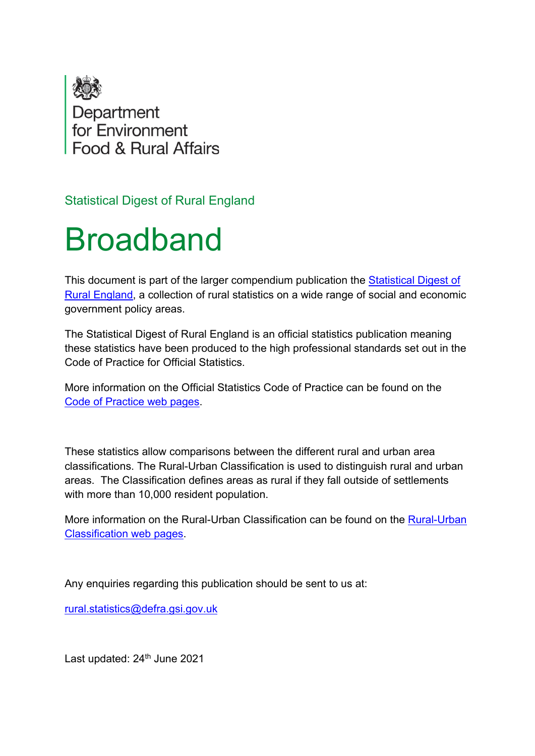

Statistical Digest of Rural England

# Broadband

This document is part of the larger compendium publication the [Statistical Digest of](https://www.gov.uk/government/statistics/statistical-digest-of-rural-england)  [Rural England,](https://www.gov.uk/government/statistics/statistical-digest-of-rural-england) a collection of rural statistics on a wide range of social and economic government policy areas.

The Statistical Digest of Rural England is an official statistics publication meaning these statistics have been produced to the high professional standards set out in the Code of Practice for Official Statistics.

More information on the Official Statistics Code of Practice can be found on the [Code of Practice web pages.](https://code.statisticsauthority.gov.uk/)

These statistics allow comparisons between the different rural and urban area classifications. The Rural-Urban Classification is used to distinguish rural and urban areas. The Classification defines areas as rural if they fall outside of settlements with more than 10,000 resident population.

More information on the Rural-Urban Classification can be found on the [Rural-Urban](https://code.statisticsauthority.gov.uk/)  [Classification web pages.](https://code.statisticsauthority.gov.uk/)

Any enquiries regarding this publication should be sent to us at:

[rural.statistics@defra.gsi.gov.uk](mailto:rural.statistics@defra.gsi.gov.uk)

Last updated: 24<sup>th</sup> June 2021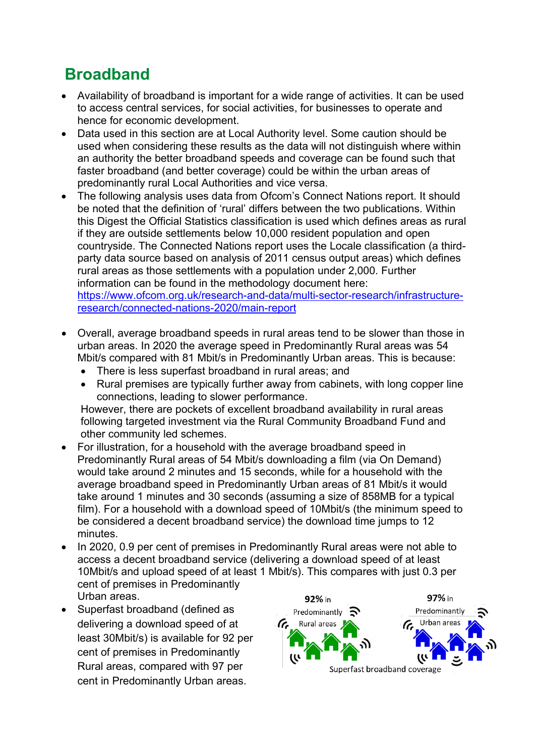# **Broadband**

- Availability of broadband is important for a wide range of activities. It can be used to access central services, for social activities, for businesses to operate and hence for economic development.
- Data used in this section are at Local Authority level. Some caution should be used when considering these results as the data will not distinguish where within an authority the better broadband speeds and coverage can be found such that faster broadband (and better coverage) could be within the urban areas of predominantly rural Local Authorities and vice versa.
- The following analysis uses data from Ofcom's Connect Nations report. It should be noted that the definition of 'rural' differs between the two publications. Within this Digest the Official Statistics classification is used which defines areas as rural if they are outside settlements below 10,000 resident population and open countryside. The Connected Nations report uses the Locale classification (a thirdparty data source based on analysis of 2011 census output areas) which defines rural areas as those settlements with a population under 2,000. Further information can be found in the methodology document here: [https://www.ofcom.org.uk/research-and-data/multi-sector-research/infrastructure](file://samvw3-file11/Sandpit/Branch_A/Indicators/Digest/www.ofcom.org.uk/research-and-data/multi-sector-research/infrastructure-research/connected-nations-2018)[research/connected-nations-2020/main-report](file://samvw3-file11/Sandpit/Branch_A/Indicators/Digest/www.ofcom.org.uk/research-and-data/multi-sector-research/infrastructure-research/connected-nations-2018)
- Overall, average broadband speeds in rural areas tend to be slower than those in urban areas. In 2020 the average speed in Predominantly Rural areas was 54 Mbit/s compared with 81 Mbit/s in Predominantly Urban areas. This is because:
	- There is less superfast broadband in rural areas; and
	- Rural premises are typically further away from cabinets, with long copper line connections, leading to slower performance.

However, there are pockets of excellent broadband availability in rural areas following targeted investment via the Rural Community Broadband Fund and other community led schemes.

- For illustration, for a household with the average broadband speed in Predominantly Rural areas of 54 Mbit/s downloading a film (via On Demand) would take around 2 minutes and 15 seconds, while for a household with the average broadband speed in Predominantly Urban areas of 81 Mbit/s it would take around 1 minutes and 30 seconds (assuming a size of 858MB for a typical film). For a household with a download speed of 10Mbit/s (the minimum speed to be considered a decent broadband service) the download time jumps to 12 minutes.
- In 2020, 0.9 per cent of premises in Predominantly Rural areas were not able to access a decent broadband service (delivering a download speed of at least 10Mbit/s and upload speed of at least 1 Mbit/s). This compares with just 0.3 per cent of premises in Predominantly Urban areas.
- Superfast broadband (defined as delivering a download speed of at least 30Mbit/s) is available for 92 per cent of premises in Predominantly Rural areas, compared with 97 per cent in Predominantly Urban areas.

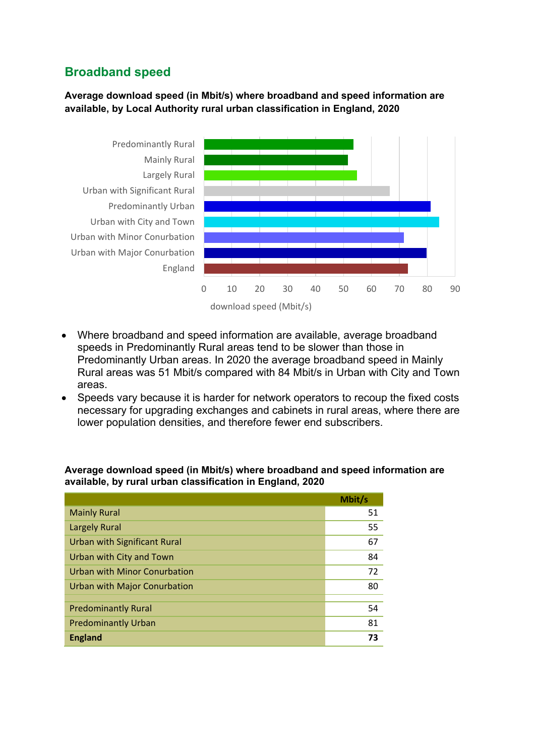## **Broadband speed**

#### **Average download speed (in Mbit/s) where broadband and speed information are available, by Local Authority rural urban classification in England, 2020**



- Where broadband and speed information are available, average broadband speeds in Predominantly Rural areas tend to be slower than those in Predominantly Urban areas. In 2020 the average broadband speed in Mainly Rural areas was 51 Mbit/s compared with 84 Mbit/s in Urban with City and Town areas.
- Speeds vary because it is harder for network operators to recoup the fixed costs necessary for upgrading exchanges and cabinets in rural areas, where there are lower population densities, and therefore fewer end subscribers.

#### **Average download speed (in Mbit/s) where broadband and speed information are available, by rural urban classification in England, 2020**

|                                     | Mbit/s |
|-------------------------------------|--------|
| <b>Mainly Rural</b>                 | 51     |
| <b>Largely Rural</b>                | 55     |
| <b>Urban with Significant Rural</b> | 67     |
| Urban with City and Town            | 84     |
| Urban with Minor Conurbation        | 72     |
| Urban with Major Conurbation        | 80     |
|                                     |        |
| <b>Predominantly Rural</b>          | 54     |
| <b>Predominantly Urban</b>          | 81     |
| <b>England</b>                      | 73     |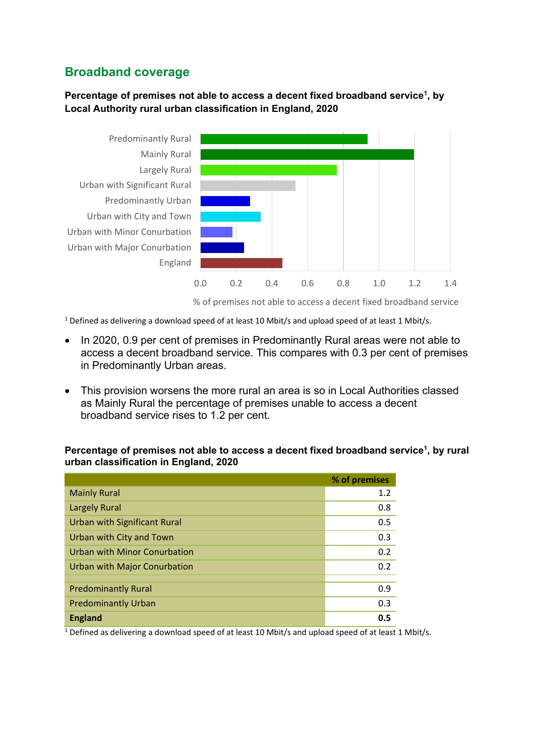### **Broadband coverage**

#### **Percentage of premises not able to access a decent fixed broadband service<sup>1</sup> , by Local Authority rural urban classification in England, 2020**



<sup>1</sup> Defined as delivering a download speed of at least 10 Mbit/s and upload speed of at least 1 Mbit/s.

- In 2020, 0.9 per cent of premises in Predominantly Rural areas were not able to access a decent broadband service. This compares with 0.3 per cent of premises in Predominantly Urban areas.
- This provision worsens the more rural an area is so in Local Authorities classed as Mainly Rural the percentage of premises unable to access a decent broadband service rises to 1.2 per cent.

**Percentage of premises not able to access a decent fixed broadband service<sup>1</sup> , by rural urban classification in England, 2020**

|                                     | % of premises |
|-------------------------------------|---------------|
| <b>Mainly Rural</b>                 | 1.2           |
| <b>Largely Rural</b>                | 0.8           |
| <b>Urban with Significant Rural</b> | 0.5           |
| Urban with City and Town            | 0.3           |
| <b>Urban with Minor Conurbation</b> | 0.2           |
| Urban with Major Conurbation        | 0.2           |
|                                     |               |
| <b>Predominantly Rural</b>          | 0.9           |
| <b>Predominantly Urban</b>          | 0.3           |
| <b>England</b>                      | 0.5           |

<sup>1</sup> Defined as delivering a download speed of at least 10 Mbit/s and upload speed of at least 1 Mbit/s.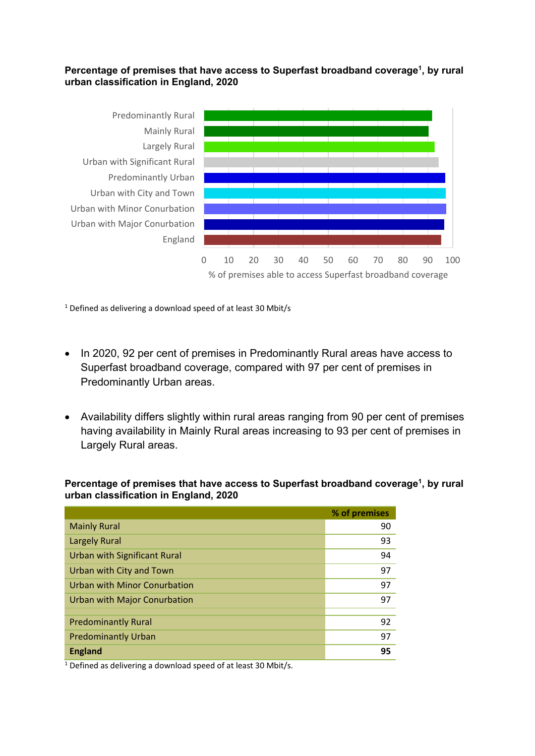#### Percentage of premises that have access to Superfast broadband coverage<sup>1</sup>, by rural **urban classification in England, 2020**



<sup>1</sup> Defined as delivering a download speed of at least 30 Mbit/s

- In 2020, 92 per cent of premises in Predominantly Rural areas have access to Superfast broadband coverage, compared with 97 per cent of premises in Predominantly Urban areas.
- Availability differs slightly within rural areas ranging from 90 per cent of premises having availability in Mainly Rural areas increasing to 93 per cent of premises in Largely Rural areas.

Percentage of premises that have access to Superfast broadband coverage<sup>1</sup>, by rural **urban classification in England, 2020**

|                                     | % of premises |
|-------------------------------------|---------------|
| <b>Mainly Rural</b>                 | 90            |
| <b>Largely Rural</b>                | 93            |
| <b>Urban with Significant Rural</b> | 94            |
| Urban with City and Town            | 97            |
| Urban with Minor Conurbation        | 97            |
| Urban with Major Conurbation        | 97            |
|                                     |               |
| <b>Predominantly Rural</b>          | 92            |
| <b>Predominantly Urban</b>          | 97            |
| <b>England</b>                      | 95            |

 $1$  Defined as delivering a download speed of at least 30 Mbit/s.